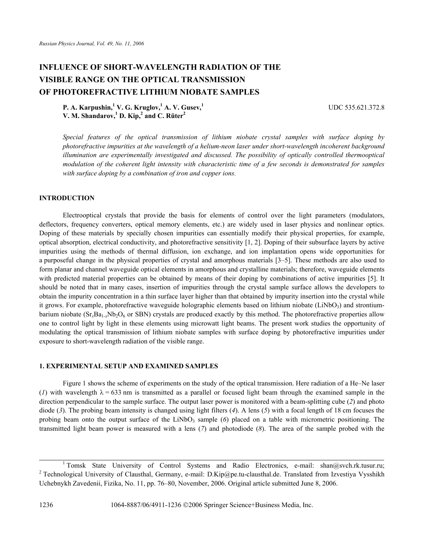# **INFLUENCE OF SHORT-WAVELENGTH RADIATION OF THE VISIBLE RANGE ON THE OPTICAL TRANSMISSION OF PHOTOREFRACTIVE LITHIUM NIOBATE SAMPLES**

UDC 535.621.372.8

**P. A. Karpushin,1 V. G. Kruglov,1 A. V. Gusev,1** V. M. Shandarov,<sup>1</sup> D. Kip,<sup>2</sup> and C. Rüter<sup>2</sup>

*Special features of the optical transmission of lithium niobate crystal samples with surface doping by photorefractive impurities at the wavelength of a helium-neon laser under short-wavelength incoherent background illumination are experimentally investigated and discussed. The possibility of optically controlled thermooptical modulation of the coherent light intensity with characteristic time of a few seconds is demonstrated for samples with surface doping by a combination of iron and copper ions.* 

## **INTRODUCTION**

Electrooptical crystals that provide the basis for elements of control over the light parameters (modulators, deflectors, frequency converters, optical memory elements, etc.) are widely used in laser physics and nonlinear optics. Doping of these materials by specially chosen impurities can essentially modify their physical properties, for example, optical absorption, electrical conductivity, and photorefractive sensitivity [1, 2]. Doping of their subsurface layers by active impurities using the methods of thermal diffusion, ion exchange, and ion implantation opens wide opportunities for a purposeful change in the physical properties of crystal and amorphous materials [3–5]. These methods are also used to form planar and channel waveguide optical elements in amorphous and crystalline materials; therefore, waveguide elements with predicted material properties can be obtained by means of their doping by combinations of active impurities [5]. It should be noted that in many cases, insertion of impurities through the crystal sample surface allows the developers to obtain the impurity concentration in a thin surface layer higher than that obtained by impurity insertion into the crystal while it grows. For example, photorefractive waveguide holographic elements based on lithium niobate (LiNbO3) and strontiumbarium niobate  $(Sr<sub>z</sub>Ba<sub>1-z</sub>Nb<sub>2</sub>O<sub>6</sub>$  or SBN) crystals are produced exactly by this method. The photorefractive properties allow one to control light by light in these elements using microwatt light beams. The present work studies the opportunity of modulating the optical transmission of lithium niobate samples with surface doping by photorefractive impurities under exposure to short-wavelength radiation of the visible range.

#### **1. EXPERIMENTAL SETUP AND EXAMINED SAMPLES**

Figure 1 shows the scheme of experiments on the study of the optical transmission. Here radiation of a He–Ne laser (*I*) with wavelength  $\lambda = 633$  nm is transmitted as a parallel or focused light beam through the examined sample in the direction perpendicular to the sample surface. The output laser power is monitored with a beam-splitting cube (*2*) and photo diode (*3*). The probing beam intensity is changed using light filters (*4*). A lens (*5*) with a focal length of 18 cm focuses the probing beam onto the output surface of the LiNbO<sub>3</sub> sample (6) placed on a table with micrometric positioning. The transmitted light beam power is measured with a lens (*7*) and photodiode (*8*). The area of the sample probed with the

1064-8887/06/4911-1236 ©2006 Springer Science+Business Media, Inc.

<sup>&</sup>lt;sup>1</sup> Tomsk State University of Control Systems and Radio Electronics, e-mail: shan@svch.rk.tusur.ru;<br><sup>2</sup> Tophological University of Claughel Germany a mail: D.Kin@na.ty claughel.do Translated from Investiga Vyschilch <sup>2</sup> Technological University of Clausthal, Germany, e-mail: D.Kip@pe.tu-clausthal.de. Translated from Izvestiya Vysshikh Uchebnykh Zavedenii, Fizika, No. 11, pp. 76–80, November, 2006. Original article submitted June 8, 2006.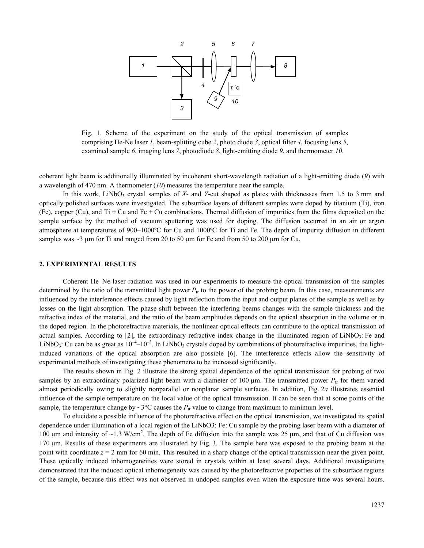

Fig. 1. Scheme of the experiment on the study of the optical transmission of samples comprising He-Ne laser *1*, beam-splitting cube *2*, photo diode *3*, optical filter *4*, focusing lens *5*, examined sample *6*, imaging lens *7*, photodiode *8*, light-emitting diode *9*, and thermometer *10*.

coherent light beam is additionally illuminated by incoherent short-wavelength radiation of a light-emitting diode (*9*) with a wavelength of 470 nm. A thermometer (*10*) measures the temperature near the sample.

In this work, LiNbO<sub>3</sub> crystal samples of *X*- and *Y*-cut shaped as plates with thicknesses from 1.5 to 3 mm and optically polished surfaces were investigated. The subsurface layers of different samples were doped by titanium (Ti), iron (Fe), copper (Cu), and Ti + Cu and Fe + Cu combinations. Thermal diffusion of impurities from the films deposited on the sample surface by the method of vacuum sputtering was used for doping. The diffusion occurred in an air or argon atmosphere at temperatures of 900–1000ºС for Cu and 1000ºС for Ti and Fe. The depth of impurity diffusion in different samples was  $\sim$ 3 μm for Ti and ranged from 20 to 50 μm for Fe and from 50 to 200 μm for Cu.

#### **2. EXPERIMENTAL RESULTS**

Coherent He–Ne-laser radiation was used in our experiments to measure the optical transmission of the samples determined by the ratio of the transmitted light power  $P_{tr}$  to the power of the probing beam. In this case, measurements are influenced by the interference effects caused by light reflection from the input and output planes of the sample as well as by losses on the light absorption. The phase shift between the interfering beams changes with the sample thickness and the refractive index of the material, and the ratio of the beam amplitudes depends on the optical absorption in the volume or in the doped region. In the photorefractive materials, the nonlinear optical effects can contribute to the optical transmission of actual samples. According to  $[2]$ , the extraordinary refractive index change in the illuminated region of LiNbO<sub>3</sub>: Fe and LiNbO<sub>3</sub>: Cu can be as great as  $10^{-4}-10^{-3}$ . In LiNbO<sub>3</sub> crystals doped by combinations of photorefractive impurities, the lightinduced variations of the optical absorption are also possible [6]. The interference effects allow the sensitivity of experimental methods of investigating these phenomena to be increased significantly.

The results shown in Fig. 2 illustrate the strong spatial dependence of the optical transmission for probing of two samples by an extraordinary polarized light beam with a diameter of 100  $\mu$ m. The transmitted power  $P_{tr}$  for them varied almost periodically owing to slightly nonparallel or nonplanar sample surfaces. In addition, Fig. 2*a* illustrates essential influence of the sample temperature on the local value of the optical transmission. It can be seen that at some points of the sample, the temperature change by  $\sim$ 3°C causes the  $P$ <sub>tr</sub> value to change from maximum to minimum level.

To elucidate a possible influence of the photorefractive effect on the optical transmission, we investigated its spatial dependence under illumination of a local region of the LiNbO3: Fe: Cu sample by the probing laser beam with a diameter of 100 μm and intensity of ~1.3 W/cm<sup>2</sup>. The depth of Fe diffusion into the sample was 25 μm, and that of Cu diffusion was 170 μm. Results of these experiments are illustrated by Fig. 3. The sample here was exposed to the probing beam at the point with coordinate *z* = 2 mm for 60 min. This resulted in a sharp change of the optical transmission near the given point. These optically induced inhomogeneities were stored in crystals within at least several days. Additional investigations demonstrated that the induced optical inhomogeneity was caused by the photorefractive properties of the subsurface regions of the sample, because this effect was not observed in undoped samples even when the exposure time was several hours.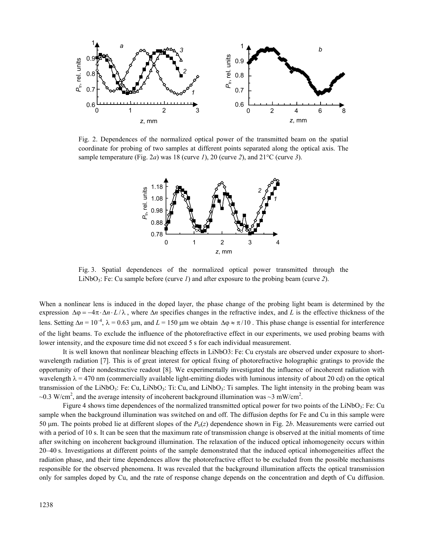

Fig. 2. Dependences of the normalized optical power of the transmitted beam on the spatial coordinate for probing of two samples at different points separated along the optical axis. The sample temperature (Fig. 2*а*) was 18 (curve *1*), 20 (curve *2*), and 21°C (curve *3*).



Fig. 3. Spatial dependences of the normalized optical power transmitted through the LiNbO<sub>3</sub>: Fe: Cu sample before (curve *1*) and after exposure to the probing beam (curve *2*).

When a nonlinear lens is induced in the doped layer, the phase change of the probing light beam is determined by the expression  $\Delta \varphi = -4\pi \cdot \Delta n \cdot L/\lambda$ , where  $\Delta n$  specifies changes in the refractive index, and L is the effective thickness of the lens. Setting  $Δn = 10^{-4}$ ,  $λ = 0.63$  μm, and  $L = 150$  μm we obtain  $Δφ ≈ π/10$ . This phase change is essential for interference of the light beams. To exclude the influence of the photorefractive effect in our experiments, we used probing beams with lower intensity, and the exposure time did not exceed 5 s for each individual measurement.

It is well known that nonlinear bleaching effects in LiNbO3: Fe: Cu crystals are observed under exposure to shortwavelength radiation [7]. This is of great interest for optical fixing of photorefractive holographic gratings to provide the opportunity of their nondestractive readout [8]. We experimentally investigated the influence of incoherent radiation with wavelength  $\lambda = 470$  nm (commercially available light-emitting diodes with luminous intensity of about 20 cd) on the optical transmission of the LiNbO<sub>3</sub>: Fe: Cu, LiNbO<sub>3</sub>: Ti: Cu, and LiNbO<sub>3</sub>: Ti samples. The light intensity in the probing beam was ~0.3 W/cm<sup>2</sup>, and the average intensity of incoherent background illumination was ~3 mW/cm<sup>2</sup>.

Figure 4 shows time dependences of the normalized transmitted optical power for two points of the LiNbO<sub>3</sub>: Fe: Cu sample when the background illumination was switched on and off. The diffusion depths for Fe and Cu in this sample were 50 μm. The points probed lie at different slopes of the *P*tr(*z*) dependence shown in Fig. 2*b*. Measurements were carried out with a period of 10 s. It can be seen that the maximum rate of transmission change is observed at the initial moments of time after switching on incoherent background illumination. The relaxation of the induced optical inhomogeneity occurs within 20–40 s. Investigations at different points of the sample demonstrated that the induced optical inhomogeneities affect the radiation phase, and their time dependences allow the photorefractive effect to be excluded from the possible mechanisms responsible for the observed phenomena. It was revealed that the background illumination affects the optical transmission only for samples doped by Cu, and the rate of response change depends on the concentration and depth of Cu diffusion.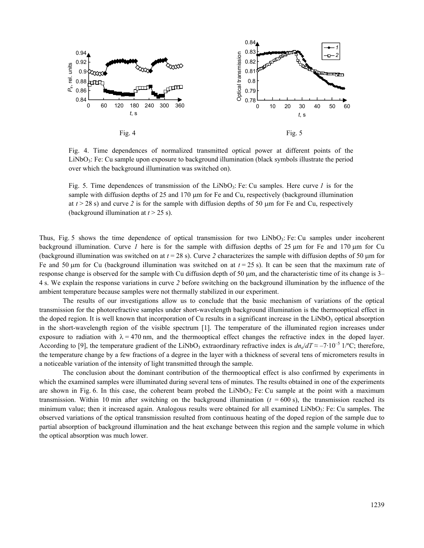

Fig. 4. Time dependences of normalized transmitted optical power at different points of the LiNbO3: Fe: Cu sample upon exposure to background illumination (black symbols illustrate the period over which the background illumination was switched on).

Fig. 5. Time dependences of transmission of the LiNbO<sub>3</sub>: Fe: Cu samples. Here curve *l* is for the sample with diffusion depths of 25 and 170 μm for Fe and Cu, respectively (background illumination at  $t > 28$  s) and curve 2 is for the sample with diffusion depths of 50  $\mu$ m for Fe and Cu, respectively (background illumination at *t* > 25 s).

Thus, Fig. 5 shows the time dependence of optical transmission for two LiNbO<sub>3</sub>: Fe: Cu samples under incoherent background illumination. Curve *1* here is for the sample with diffusion depths of 25 μm for Fe and 170 μm for Cu (background illumination was switched on at *t* = 28 s). Curve *2* characterizes the sample with diffusion depths of 50 μm for Fe and 50 μm for Cu (background illumination was switched on at *t* = 25 s). It can be seen that the maximum rate of response change is observed for the sample with Cu diffusion depth of 50 μm, and the characteristic time of its change is 3– 4 s. We explain the response variations in curve *2* before switching on the background illumination by the influence of the ambient temperature because samples were not thermally stabilized in our experiment.

The results of our investigations allow us to conclude that the basic mechanism of variations of the optical transmission for the photorefractive samples under short-wavelength background illumination is the thermooptical effect in the doped region. It is well known that incorporation of Cu results in a significant increase in the  $LiNbO<sub>3</sub>$  optical absorption in the short-wavelength region of the visible spectrum [1]. The temperature of the illuminated region increases under exposure to radiation with  $\lambda = 470$  nm, and the thermooptical effect changes the refractive index in the doped layer. According to [9], the temperature gradient of the LiNbO<sub>3</sub> extraordinary refractive index is  $dn_e/dT \approx -7.10^{-5}$  1/°C; therefore, the temperature change by a few fractions of a degree in the layer with a thickness of several tens of micrometers results in a noticeable variation of the intensity of light transmitted through the sample.

The conclusion about the dominant contribution of the thermooptical effect is also confirmed by experiments in which the examined samples were illuminated during several tens of minutes. The results obtained in one of the experiments are shown in Fig. 6. In this case, the coherent beam probed the LiNbO<sub>3</sub>: Fe: Cu sample at the point with a maximum transmission. Within 10 min after switching on the background illumination  $(t = 600 \text{ s})$ , the transmission reached its minimum value; then it increased again. Analogous results were obtained for all examined LiNbO3: Fe: Cu samples. The observed variations of the optical transmission resulted from continuous heating of the doped region of the sample due to partial absorption of background illumination and the heat exchange between this region and the sample volume in which the optical absorption was much lower.